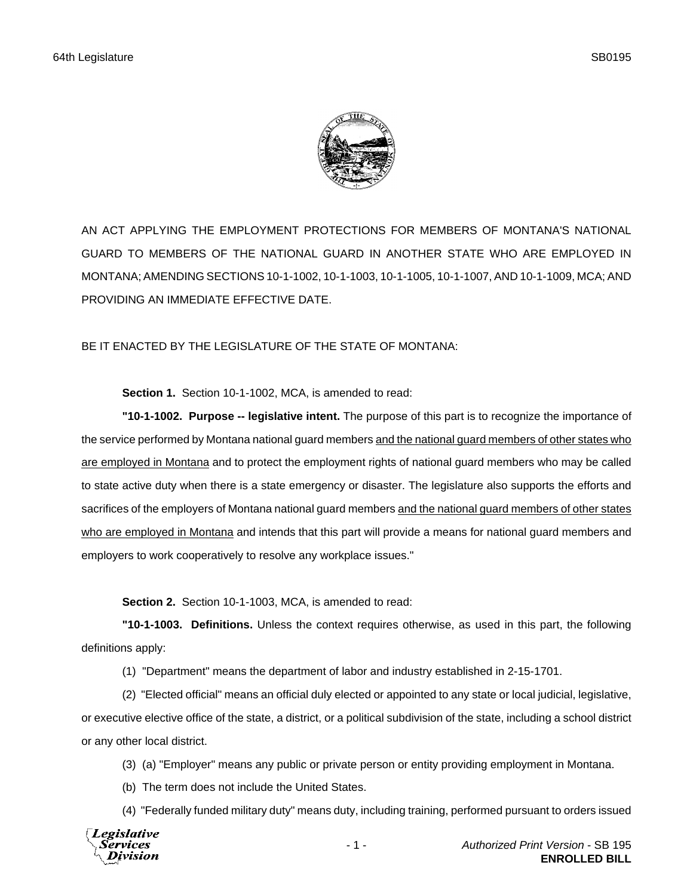

AN ACT APPLYING THE EMPLOYMENT PROTECTIONS FOR MEMBERS OF MONTANA'S NATIONAL GUARD TO MEMBERS OF THE NATIONAL GUARD IN ANOTHER STATE WHO ARE EMPLOYED IN MONTANA; AMENDING SECTIONS 10-1-1002, 10-1-1003, 10-1-1005, 10-1-1007, AND 10-1-1009, MCA; AND PROVIDING AN IMMEDIATE EFFECTIVE DATE.

## BE IT ENACTED BY THE LEGISLATURE OF THE STATE OF MONTANA:

**Section 1.** Section 10-1-1002, MCA, is amended to read:

**"10-1-1002. Purpose -- legislative intent.** The purpose of this part is to recognize the importance of the service performed by Montana national guard members and the national guard members of other states who are employed in Montana and to protect the employment rights of national guard members who may be called to state active duty when there is a state emergency or disaster. The legislature also supports the efforts and sacrifices of the employers of Montana national guard members and the national guard members of other states who are employed in Montana and intends that this part will provide a means for national guard members and employers to work cooperatively to resolve any workplace issues."

**Section 2.** Section 10-1-1003, MCA, is amended to read:

**"10-1-1003. Definitions.** Unless the context requires otherwise, as used in this part, the following definitions apply:

(1) "Department" means the department of labor and industry established in 2-15-1701.

(2) "Elected official" means an official duly elected or appointed to any state or local judicial, legislative, or executive elective office of the state, a district, or a political subdivision of the state, including a school district or any other local district.

- (3) (a) "Employer" means any public or private person or entity providing employment in Montana.
- (b) The term does not include the United States.

(4) "Federally funded military duty" means duty, including training, performed pursuant to orders issued

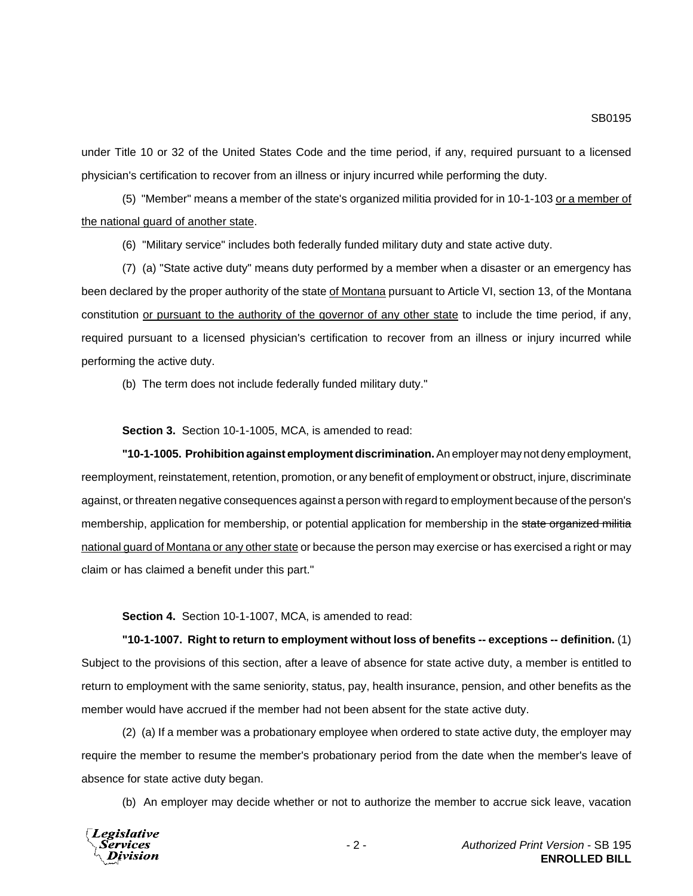under Title 10 or 32 of the United States Code and the time period, if any, required pursuant to a licensed physician's certification to recover from an illness or injury incurred while performing the duty.

(5) "Member" means a member of the state's organized militia provided for in 10-1-103 or a member of the national guard of another state.

(6) "Military service" includes both federally funded military duty and state active duty.

(7) (a) "State active duty" means duty performed by a member when a disaster or an emergency has been declared by the proper authority of the state of Montana pursuant to Article VI, section 13, of the Montana constitution or pursuant to the authority of the governor of any other state to include the time period, if any, required pursuant to a licensed physician's certification to recover from an illness or injury incurred while performing the active duty.

(b) The term does not include federally funded military duty."

**Section 3.** Section 10-1-1005, MCA, is amended to read:

**"10-1-1005. Prohibition against employment discrimination.** An employer may not deny employment, reemployment, reinstatement, retention, promotion, or any benefit of employment or obstruct, injure, discriminate against, or threaten negative consequences against a person with regard to employment because of the person's membership, application for membership, or potential application for membership in the state organized militia national guard of Montana or any other state or because the person may exercise or has exercised a right or may claim or has claimed a benefit under this part."

**Section 4.** Section 10-1-1007, MCA, is amended to read:

**"10-1-1007. Right to return to employment without loss of benefits -- exceptions -- definition.** (1) Subject to the provisions of this section, after a leave of absence for state active duty, a member is entitled to return to employment with the same seniority, status, pay, health insurance, pension, and other benefits as the member would have accrued if the member had not been absent for the state active duty.

(2) (a) If a member was a probationary employee when ordered to state active duty, the employer may require the member to resume the member's probationary period from the date when the member's leave of absence for state active duty began.

(b) An employer may decide whether or not to authorize the member to accrue sick leave, vacation

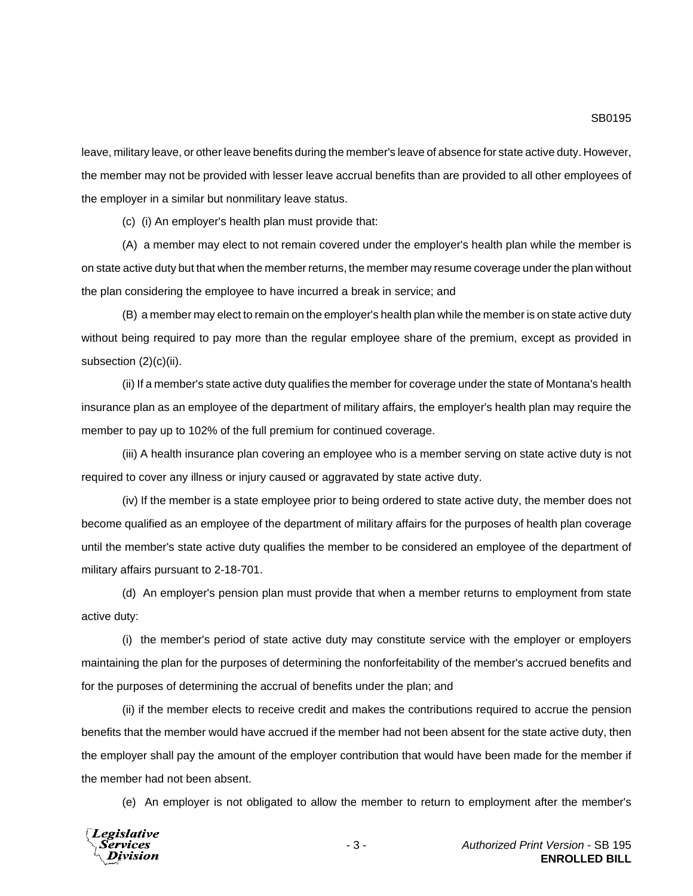leave, military leave, or other leave benefits during the member's leave of absence for state active duty. However, the member may not be provided with lesser leave accrual benefits than are provided to all other employees of the employer in a similar but nonmilitary leave status.

(c) (i) An employer's health plan must provide that:

(A) a member may elect to not remain covered under the employer's health plan while the member is on state active duty but that when the member returns, the member may resume coverage under the plan without the plan considering the employee to have incurred a break in service; and

(B) a member may elect to remain on the employer's health plan while the member is on state active duty without being required to pay more than the regular employee share of the premium, except as provided in subsection (2)(c)(ii).

(ii) If a member's state active duty qualifies the member for coverage under the state of Montana's health insurance plan as an employee of the department of military affairs, the employer's health plan may require the member to pay up to 102% of the full premium for continued coverage.

(iii) A health insurance plan covering an employee who is a member serving on state active duty is not required to cover any illness or injury caused or aggravated by state active duty.

(iv) If the member is a state employee prior to being ordered to state active duty, the member does not become qualified as an employee of the department of military affairs for the purposes of health plan coverage until the member's state active duty qualifies the member to be considered an employee of the department of military affairs pursuant to 2-18-701.

(d) An employer's pension plan must provide that when a member returns to employment from state active duty:

(i) the member's period of state active duty may constitute service with the employer or employers maintaining the plan for the purposes of determining the nonforfeitability of the member's accrued benefits and for the purposes of determining the accrual of benefits under the plan; and

(ii) if the member elects to receive credit and makes the contributions required to accrue the pension benefits that the member would have accrued if the member had not been absent for the state active duty, then the employer shall pay the amount of the employer contribution that would have been made for the member if the member had not been absent.

(e) An employer is not obligated to allow the member to return to employment after the member's

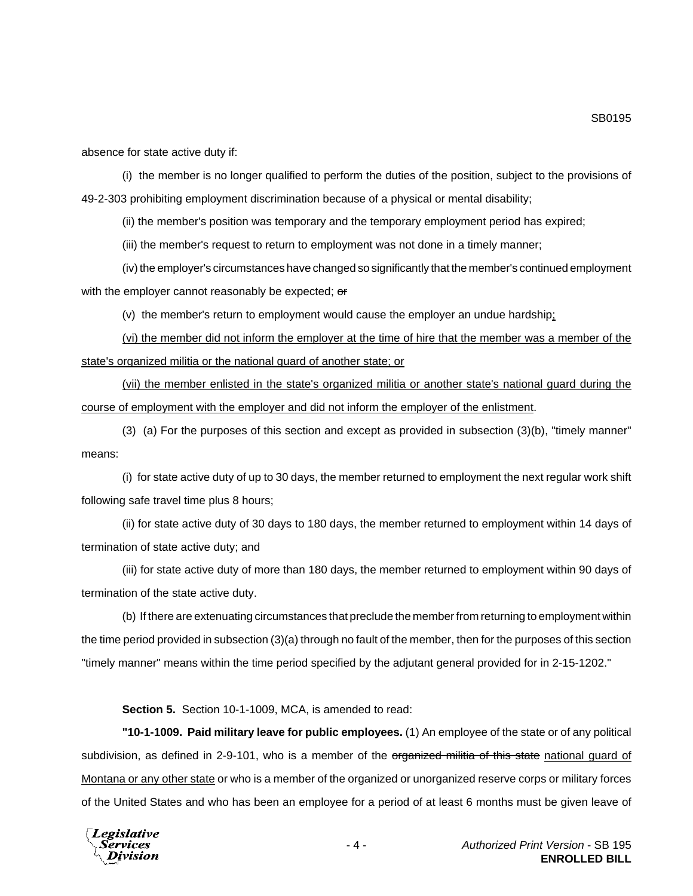absence for state active duty if:

(i) the member is no longer qualified to perform the duties of the position, subject to the provisions of 49-2-303 prohibiting employment discrimination because of a physical or mental disability;

(ii) the member's position was temporary and the temporary employment period has expired;

(iii) the member's request to return to employment was not done in a timely manner;

(iv) the employer's circumstances have changed so significantly that the member's continued employment with the employer cannot reasonably be expected; or

(v) the member's return to employment would cause the employer an undue hardship;

(vi) the member did not inform the employer at the time of hire that the member was a member of the state's organized militia or the national guard of another state; or

(vii) the member enlisted in the state's organized militia or another state's national guard during the course of employment with the employer and did not inform the employer of the enlistment.

(3) (a) For the purposes of this section and except as provided in subsection (3)(b), "timely manner" means:

(i) for state active duty of up to 30 days, the member returned to employment the next regular work shift following safe travel time plus 8 hours;

(ii) for state active duty of 30 days to 180 days, the member returned to employment within 14 days of termination of state active duty; and

(iii) for state active duty of more than 180 days, the member returned to employment within 90 days of termination of the state active duty.

(b) If there are extenuating circumstances that preclude the member from returning to employment within the time period provided in subsection (3)(a) through no fault of the member, then for the purposes of this section "timely manner" means within the time period specified by the adjutant general provided for in 2-15-1202."

**Section 5.** Section 10-1-1009, MCA, is amended to read:

**"10-1-1009. Paid military leave for public employees.** (1) An employee of the state or of any political subdivision, as defined in 2-9-101, who is a member of the organized militia of this state national quard of Montana or any other state or who is a member of the organized or unorganized reserve corps or military forces of the United States and who has been an employee for a period of at least 6 months must be given leave of

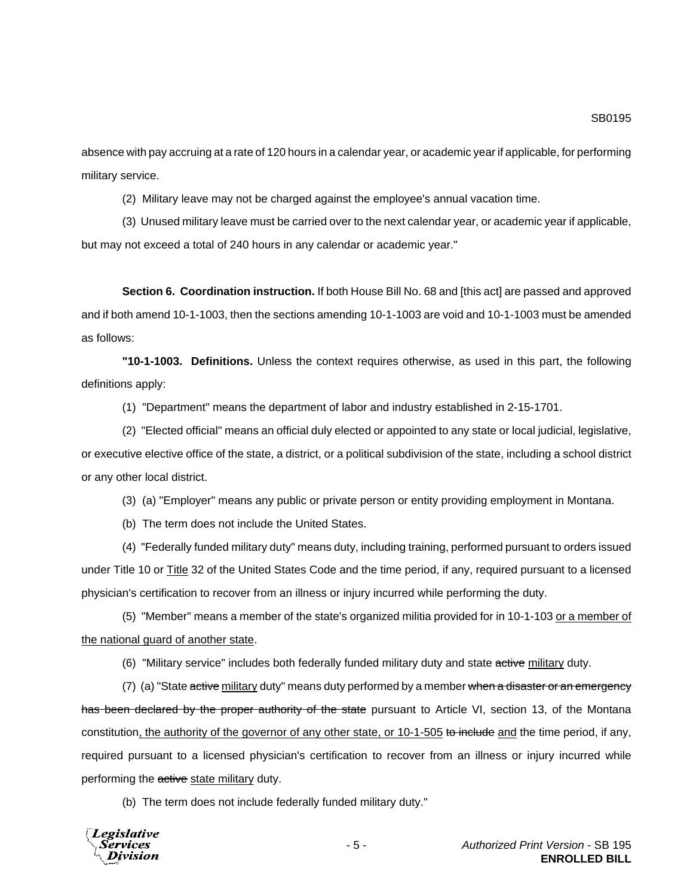absence with pay accruing at a rate of 120 hours in a calendar year, or academic year if applicable, for performing military service.

(2) Military leave may not be charged against the employee's annual vacation time.

(3) Unused military leave must be carried over to the next calendar year, or academic year if applicable, but may not exceed a total of 240 hours in any calendar or academic year."

**Section 6. Coordination instruction.** If both House Bill No. 68 and [this act] are passed and approved and if both amend 10-1-1003, then the sections amending 10-1-1003 are void and 10-1-1003 must be amended as follows:

**"10-1-1003. Definitions.** Unless the context requires otherwise, as used in this part, the following definitions apply:

(1) "Department" means the department of labor and industry established in 2-15-1701.

(2) "Elected official" means an official duly elected or appointed to any state or local judicial, legislative, or executive elective office of the state, a district, or a political subdivision of the state, including a school district or any other local district.

(3) (a) "Employer" means any public or private person or entity providing employment in Montana.

(b) The term does not include the United States.

(4) "Federally funded military duty" means duty, including training, performed pursuant to orders issued under Title 10 or Title 32 of the United States Code and the time period, if any, required pursuant to a licensed physician's certification to recover from an illness or injury incurred while performing the duty.

(5) "Member" means a member of the state's organized militia provided for in 10-1-103 or a member of the national guard of another state.

(6) "Military service" includes both federally funded military duty and state active military duty.

(7) (a) "State active military duty" means duty performed by a member when a disaster or an emergency has been declared by the proper authority of the state pursuant to Article VI, section 13, of the Montana constitution, the authority of the governor of any other state, or 10-1-505 to include and the time period, if any, required pursuant to a licensed physician's certification to recover from an illness or injury incurred while performing the active state military duty.

(b) The term does not include federally funded military duty."

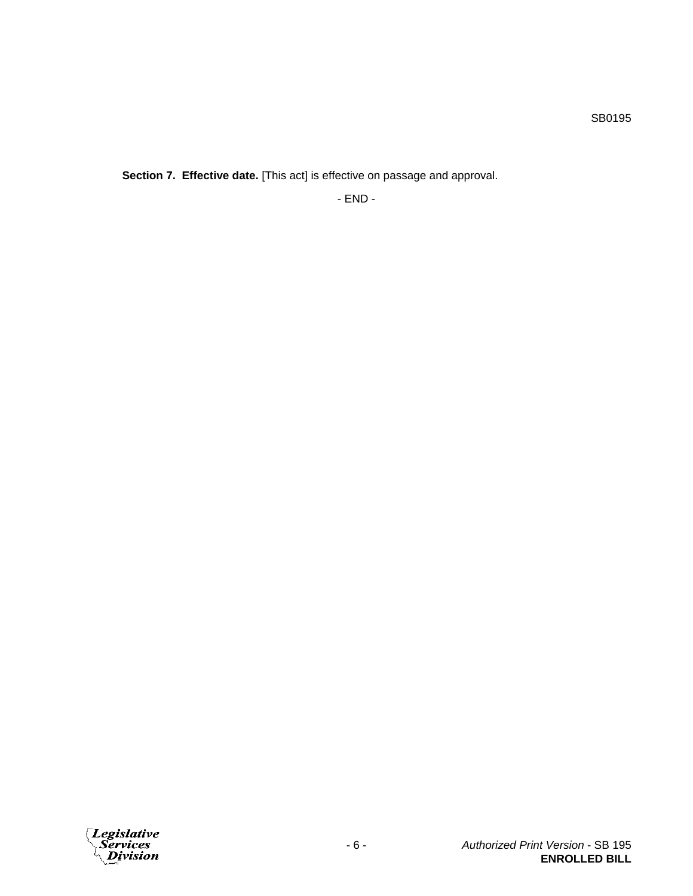**Section 7. Effective date.** [This act] is effective on passage and approval.

- END -

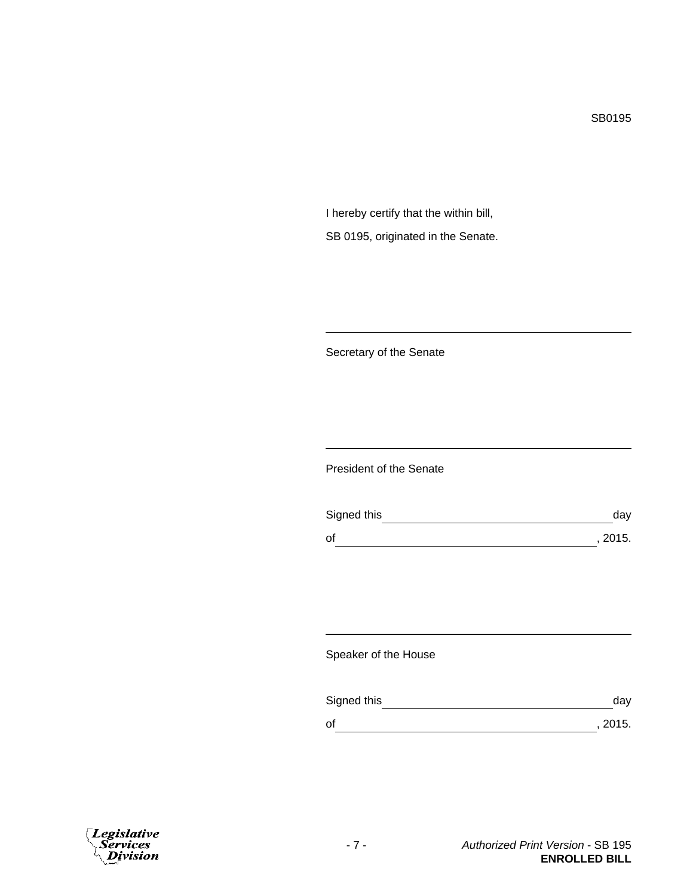SB0195

I hereby certify that the within bill, SB 0195, originated in the Senate.

Secretary of the Senate

President of the Senate

| Signed this | dav     |
|-------------|---------|
| of          | , 2015. |

Speaker of the House

| Signed this | dav     |
|-------------|---------|
| οf          | , 2015. |